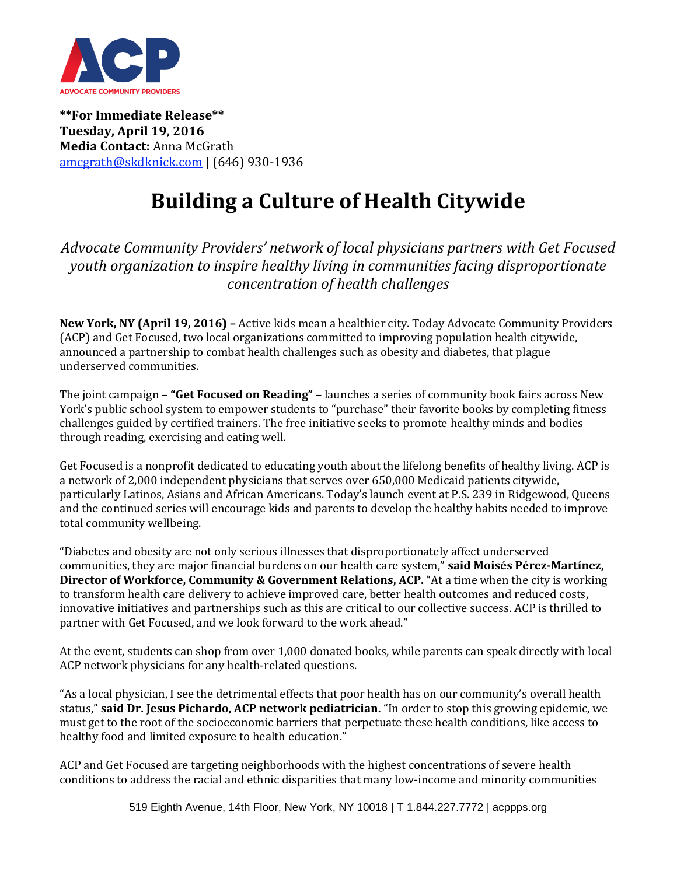

**\*\*For Immediate Release\*\* Tuesday, April 19, 2016 Media Contact:** Anna McGrath [amcgrath@skdknick.com](mailto:amcgrath@skdknick.com) | (646) 930-1936

## **Building a Culture of Health Citywide**

*Advocate Community Providers' network of local physicians partners with Get Focused youth organization to inspire healthy living in communities facing disproportionate concentration of health challenges*

**New York, NY (April 19, 2016) –** Active kids mean a healthier city. Today Advocate Community Providers (ACP) and Get Focused, two local organizations committed to improving population health citywide, announced a partnership to combat health challenges such as obesity and diabetes, that plague underserved communities.

The joint campaign – **"Get Focused on Reading"** – launches a series of community book fairs across New York's public school system to empower students to "purchase" their favorite books by completing fitness challenges guided by certified trainers. The free initiative seeks to promote healthy minds and bodies through reading, exercising and eating well.

Get Focused is a nonprofit dedicated to educating youth about the lifelong benefits of healthy living. ACP is a network of 2,000 independent physicians that serves over 650,000 Medicaid patients citywide, particularly Latinos, Asians and African Americans. Today's launch event at P.S. 239 in Ridgewood, Queens and the continued series will encourage kids and parents to develop the healthy habits needed to improve total community wellbeing.

"Diabetes and obesity are not only serious illnesses that disproportionately affect underserved communities, they are major financial burdens on our health care system," **said Moisés Pérez-Martínez, Director of Workforce, Community & Government Relations, ACP.** "At a time when the city is working to transform health care delivery to achieve improved care, better health outcomes and reduced costs, innovative initiatives and partnerships such as this are critical to our collective success. ACP is thrilled to partner with Get Focused, and we look forward to the work ahead."

At the event, students can shop from over 1,000 donated books, while parents can speak directly with local ACP network physicians for any health-related questions.

"As a local physician, I see the detrimental effects that poor health has on our community's overall health status," **said Dr. Jesus Pichardo, ACP network pediatrician.** "In order to stop this growing epidemic, we must get to the root of the socioeconomic barriers that perpetuate these health conditions, like access to healthy food and limited exposure to health education."

ACP and Get Focused are targeting neighborhoods with the highest concentrations of severe health conditions to address the racial and ethnic disparities that many low-income and minority communities